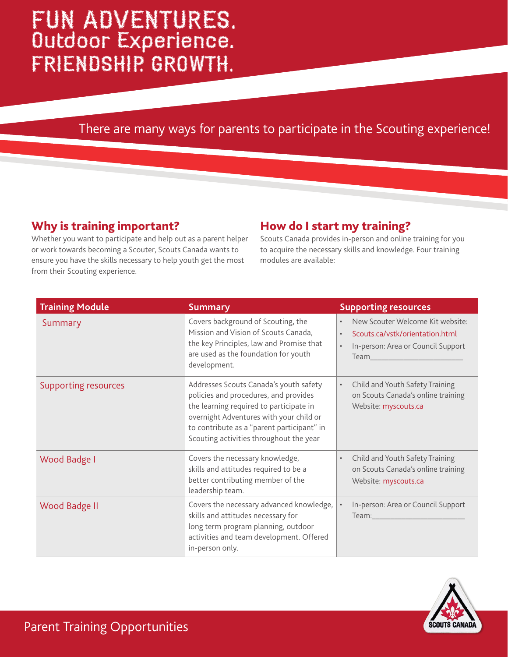# FUN ADVENTURES. Outdoor Experience. FRIENDSHIP. GROWTH.

## There are many ways for parents to participate in the Scouting experience!

## Why is training important?

Whether you want to participate and help out as a parent helper or work towards becoming a Scouter, Scouts Canada wants to ensure you have the skills necessary to help youth get the most from their Scouting experience.

#### How do I start my training?

Scouts Canada provides in-person and online training for you to acquire the necessary skills and knowledge. Four training modules are available:

| <b>Training Module</b> | <b>Summary</b>                                                                                                                                                                                                                                                 | <b>Supporting resources</b>                                                                                                                                                                                                                                                                                                                              |
|------------------------|----------------------------------------------------------------------------------------------------------------------------------------------------------------------------------------------------------------------------------------------------------------|----------------------------------------------------------------------------------------------------------------------------------------------------------------------------------------------------------------------------------------------------------------------------------------------------------------------------------------------------------|
| Summary                | Covers background of Scouting, the<br>Mission and Vision of Scouts Canada,<br>the key Principles, law and Promise that<br>are used as the foundation for youth<br>development.                                                                                 | New Scouter Welcome Kit website:<br>Scouts.ca/vstk/orientation.html<br>$\bullet$<br>In-person: Area or Council Support<br>Team and the control of the control of the control of the control of the control of the control of the control of the control of the control of the control of the control of the control of the control of the control of the |
| Supporting resources   | Addresses Scouts Canada's youth safety<br>policies and procedures, and provides<br>the learning required to participate in<br>overnight Adventures with your child or<br>to contribute as a "parent participant" in<br>Scouting activities throughout the year | Child and Youth Safety Training<br>$\bullet$<br>on Scouts Canada's online training<br>Website: myscouts.ca                                                                                                                                                                                                                                               |
| Wood Badge I           | Covers the necessary knowledge,<br>skills and attitudes required to be a<br>better contributing member of the<br>leadership team.                                                                                                                              | Child and Youth Safety Training<br>$\bullet$<br>on Scouts Canada's online training<br>Website: myscouts.ca                                                                                                                                                                                                                                               |
| Wood Badge II          | Covers the necessary advanced knowledge,<br>skills and attitudes necessary for<br>long term program planning, outdoor<br>activities and team development. Offered<br>in-person only.                                                                           | In-person: Area or Council Support                                                                                                                                                                                                                                                                                                                       |